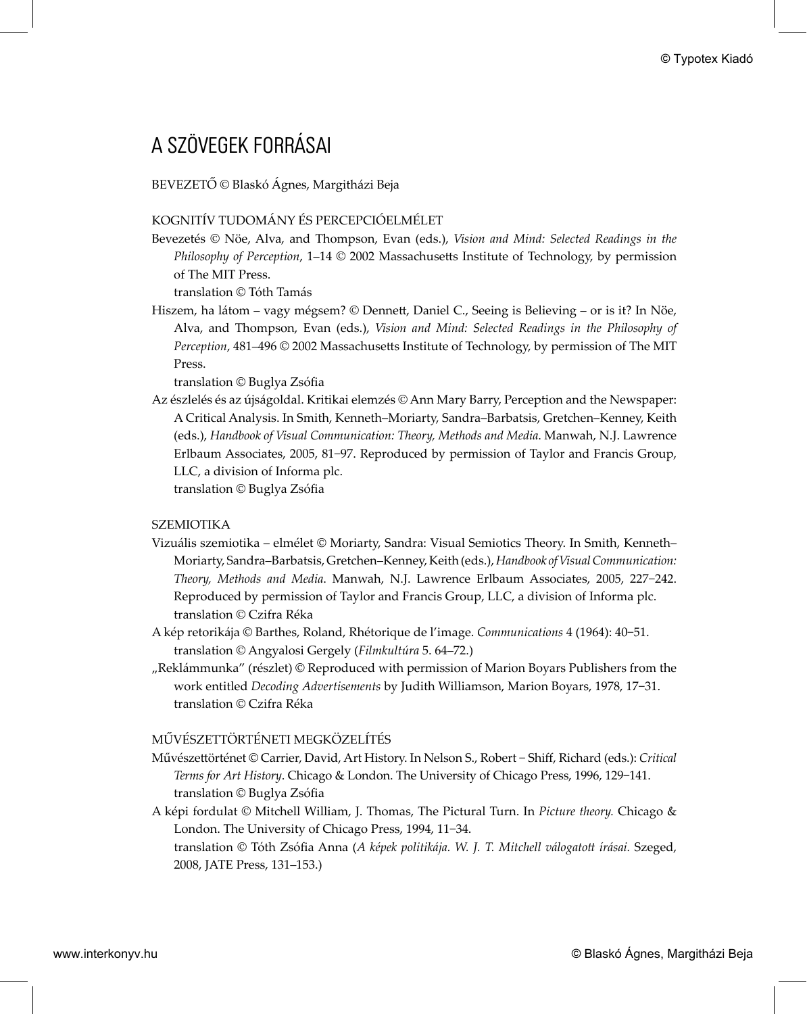# A SZÖVEGEK FORRÁSAI

BEVEZETŐ © Blaskó Ágnes, Margitházi Beja

## KOGNITÍV TUDOMÁNY ÉS PERCEPCIÓELMÉLET

Bevezetés © Nöe, Alva, and Thompson, Evan (eds.), *Vision and Mind: Selected Readings in the Philosophy of Perception, 1-14 © 2002 Massachusetts Institute of Technology, by permission* of The MIT Press.

translation © Tóth Tamás

Hiszem, ha látom – vagy mégsem? © Dennett, Daniel C., Seeing is Believing – or is it? In Nöe, Alva, and Thompson, Evan (eds.), *Vision and Mind: Selected Readings in the Philosophy of Perception, 481-496* © 2002 Massachusetts Institute of Technology, by permission of The MIT Press.

translation © Buglya Zsófia

Az észlelés és az újságoldal. Kritikai elemzés © Ann Mary Barry, Perception and the Newspaper: A Critical Analysis. In Smith, Kenneth–Moriarty, Sandra–Barbatsis, Gretchen–Kenney, Keith (eds.), *Handbook of Visual Communication: Theory, Methods and Media*. Manwah, N.J. Lawrence Erlbaum Associates, 2005, 81−97. Reproduced by permission of Taylor and Francis Group, LLC, a division of Informa plc. **C** Typotes Kiadó – A SZÜVEGEK FORRÁSZAI<br>
BEVEZETTŐ C Blaskó Ágnes, Margitházi Beja<br>
BEVEZETTŐ C BAR, Adaptekon Beja<br>
BEVEZETTŐ C BAR, Adaptekon Kiadó Ágnes, Margitházi Beja<br>
BEVEZETT UTATO-A ADAPT EMENET (bako Ágnes, BEV

translation © Buglya Zsófia

## SZEMIOTIKA

- Vizuális szemiotika elmélet © Moriarty, Sandra: Visual Semiotics Theory. In Smith, Kenneth– Moriarty, Sandra–Barbatsis, Gretchen–Kenney, Keith (eds.), *Handbook of Visual Communication: Theory, Methods and Media*. Manwah, N.J. Lawrence Erlbaum Associates, 2005, 227−242. Reproduced by permission of Taylor and Francis Group, LLC, a division of Informa plc. translation © Czifra Réka
- A kép retorikája © Barthes, Roland, Rhétorique de l'image. *Communications* 4 (1964): 40−51. translation © Angyalosi Gergely (*Filmkultúra* 5. 64–72.)
- "Reklámmunka" (részlet) © Reproduced with permission of Marion Boyars Publishers from the work entitled *Decoding Advertisements* by Judith Williamson, Marion Boyars, 1978, 17−31. translation © Czifra Réka

## MŰVÉSZETTÖRTÉNETI MEGKÖZELÍTÉS

- Művészettörténet © Carrier, David, Art History. In Nelson S., Robert Shiff, Richard (eds.): Critical *Terms for Art History*. Chicago & London. The University of Chicago Press, 1996, 129−141. translation © Buglya Zsófia
- A képi fordulat © Mitchell William, J. Thomas, The Pictural Turn. In *Picture theory.* Chicago & London. The University of Chicago Press, 1994, 11−34.

translation © Tóth Zsófia Anna (A képek politikája. W. J. T. Mitchell válogatott írásai. Szeged, 2008, JATE Press, 131–153.)